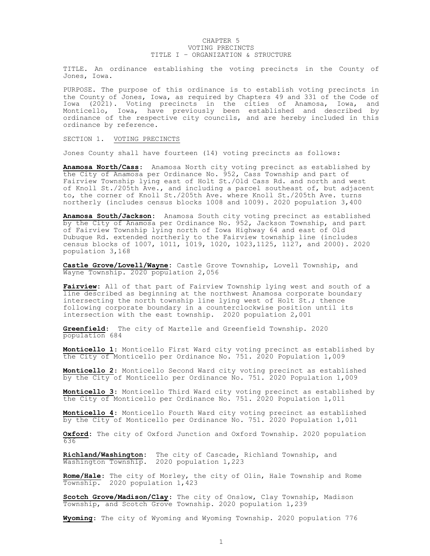## CHAPTER 5 VOTING PRECINCTS TITLE I – ORGANIZATION & STRUCTURE

TITLE. An ordinance establishing the voting precincts in the County of Jones, Iowa.

PURPOSE. The purpose of this ordinance is to establish voting precincts in the County of Jones, Iowa, as required by Chapters 49 and 331 of the Code of Iowa (2021). Voting precincts in the cities of Anamosa, Iowa, and Monticello, Iowa, have previously been established and described by ordinance of the respective city councils, and are hereby included in this ordinance by reference.

## SECTION 1. VOTING PRECINCTS

Jones County shall have fourteen (14) voting precincts as follows:

Anamosa North/Cass: Anamosa North city voting precinct as established by the City of Anamosa per Ordinance No. 952, Cass Township and part of Fairview Township lying east of Holt St./Old Cass Rd. and north and west of Knoll St./205th Ave., and including a parcel southeast of, but adjacent to, the corner of Knoll St./205th Ave. where Knoll St./205th Ave. turns northerly (includes census blocks 1008 and 1009). 2020 population 3,400

Anamosa South/Jackson: Anamosa South city voting precinct as established by the City of Anamosa per Ordinance No. 952, Jackson Township, and part of Fairview Township lying north of Iowa Highway 64 and east of Old Dubuque Rd. extended northerly to the Fairview township line (includes census blocks of 1007, 1011, 1019, 1020, 1023,1125, 1127, and 2000). 2020 population 3,168

Castle Grove/Lovell/Wayne: Castle Grove Township, Lovell Township, and Wayne Township. 2020 population 2,056

Fairview: All of that part of Fairview Township lying west and south of a line described as beginning at the northwest Anamosa corporate boundary intersecting the north township line lying west of Holt St.; thence following corporate boundary in a counterclockwise position until its intersection with the east township. 2020 population 2,001

Greenfield: The city of Martelle and Greenfield Township. 2020 population 684

Monticello 1: Monticello First Ward city voting precinct as established by the City of Monticello per Ordinance No. 751. 2020 Population 1,009

Monticello 2: Monticello Second Ward city voting precinct as established by the City of Monticello per Ordinance No. 751. 2020 Population 1,009

Monticello 3: Monticello Third Ward city voting precinct as established by the City of Monticello per Ordinance No. 751. 2020 Population 1,011

Monticello 4: Monticello Fourth Ward city voting precinct as established by the City of Monticello per Ordinance No. 751. 2020 Population 1,011

Oxford: The city of Oxford Junction and Oxford Township. 2020 population 636

Richland/Washington: The city of Cascade, Richland Township, and Washington Township. 2020 population 1,223

Rome/Hale: The city of Morley, the city of Olin, Hale Township and Rome Township. 2020 population 1,423

Scotch Grove/Madison/Clay: The city of Onslow, Clay Township, Madison Township, and Scotch Grove Township. 2020 population 1,239

Wyoming: The city of Wyoming and Wyoming Township. 2020 population 776